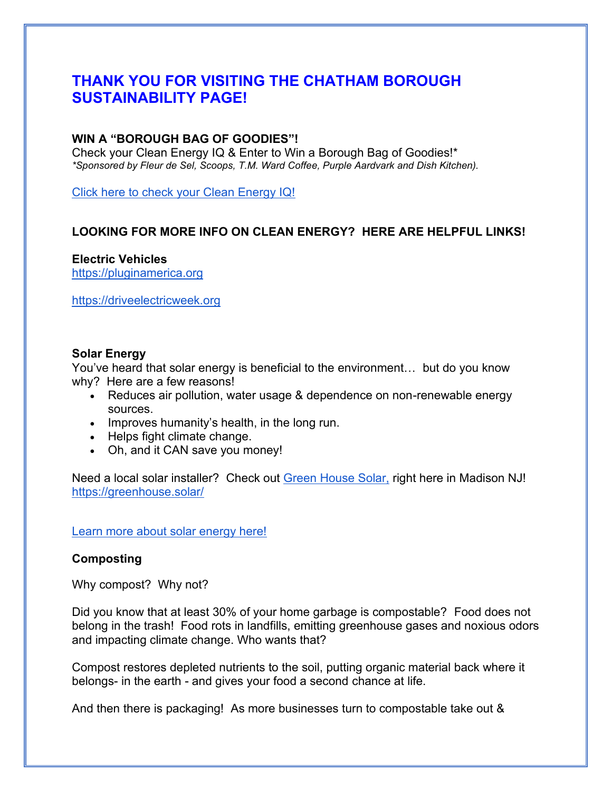# **THANK YOU FOR VISITING THE CHATHAM BOROUGH SUSTAINABILITY PAGE!**

#### **WIN A "BOROUGH BAG OF GOODIES"!**

Check your Clean Energy IQ & Enter to Win a Borough Bag of Goodies!\* *\*Sponsored by Fleur de Sel, Scoops, T.M. Ward Coffee, Purple Aardvark and Dish Kitchen).* 

[Click here to check your Clean Energy IQ!](https://docs.google.com/forms/d/e/1FAIpQLSdaLBs1REtzMa5LAmmlH66RN3uSkoTFFL_PTc1OhRCpjz6O4w/viewform?usp=sf_link)

### **LOOKING FOR MORE INFO ON CLEAN ENERGY? HERE ARE HELPFUL LINKS!**

**Electric Vehicles** [https://pluginamerica.org](https://pluginamerica.org/)

[https://driveelectricweek.org](https://driveelectricweek.org/)

#### **Solar Energy**

You've heard that solar energy is beneficial to the environment… but do you know why? Here are a few reasons!

- Reduces air pollution, water usage & dependence on non-renewable energy sources.
- Improves humanity's health, in the long run.
- Helps fight climate change.
- Oh, and it CAN save you money!

Need a local solar installer? Check out [Green House Solar,](https://greenhouse.solar/) right here in Madison NJ! <https://greenhouse.solar/>

#### [Learn more about solar energy here!](https://www.energy.gov/energysaver/benefits-residential-solar-electricity)

#### **Composting**

Why compost? Why not?

Did you know that at least 30% of your home garbage is compostable? Food does not belong in the trash! Food rots in landfills, emitting greenhouse gases and noxious odors and impacting climate change. Who wants that?

Compost restores depleted nutrients to the soil, putting organic material back where it belongs- in the earth - and gives your food a second chance at life.

And then there is packaging! As more businesses turn to compostable take out &